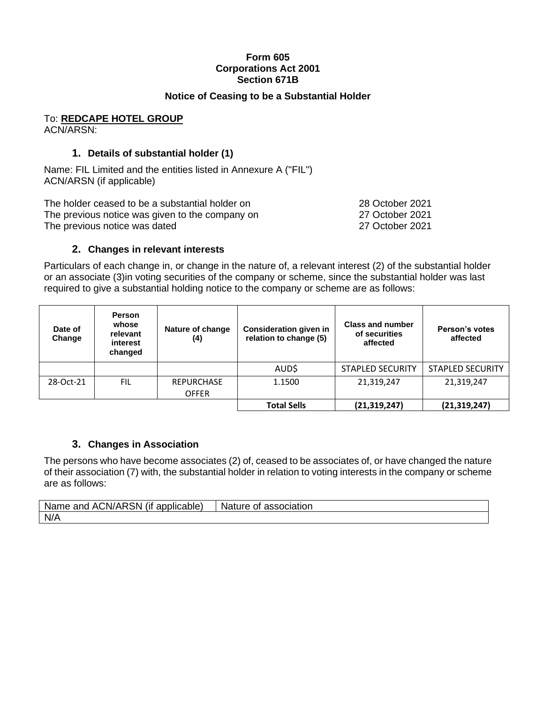#### **Form 605 Corporations Act 2001 Section 671B**

#### **Notice of Ceasing to be a Substantial Holder**

#### To: **REDCAPE HOTEL GROUP** ACN/ARSN:

## **1. Details of substantial holder (1)**

Name: FIL Limited and the entities listed in Annexure A ("FIL") ACN/ARSN (if applicable)

The holder ceased to be a substantial holder on 28 October 2021 The previous notice was given to the company on 27 October 2021 The previous notice was dated 27 October 2021

### **2. Changes in relevant interests**

Particulars of each change in, or change in the nature of, a relevant interest (2) of the substantial holder or an associate (3)in voting securities of the company or scheme, since the substantial holder was last required to give a substantial holding notice to the company or scheme are as follows:

| Date of<br>Change | <b>Person</b><br>whose<br>relevant<br>interest<br>changed | Nature of change<br>(4)           | <b>Consideration given in</b><br>relation to change (5) | <b>Class and number</b><br>of securities<br>affected | Person's votes<br>affected |
|-------------------|-----------------------------------------------------------|-----------------------------------|---------------------------------------------------------|------------------------------------------------------|----------------------------|
|                   |                                                           |                                   | AUD\$                                                   | <b>STAPLED SECURITY</b>                              | <b>STAPLED SECURITY</b>    |
| 28-Oct-21         | <b>FIL</b>                                                | <b>REPURCHASE</b><br><b>OFFER</b> | 1.1500                                                  | 21,319,247                                           | 21,319,247                 |
|                   |                                                           |                                   | <b>Total Sells</b>                                      | (21, 319, 247)                                       | (21, 319, 247)             |

#### **3. Changes in Association**

The persons who have become associates (2) of, ceased to be associates of, or have changed the nature of their association (7) with, the substantial holder in relation to voting interests in the company or scheme are as follows:

| <b>ACN/ARSN</b> (if applicable) | Nature of L    |
|---------------------------------|----------------|
| Name and                        | association: ` |
| N/A                             |                |